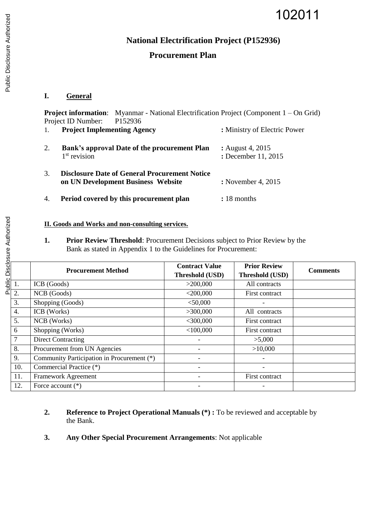# 102011

## **National Electrification Project (P152936)**

## **Procurement Plan**

### **I. General**

**Project information:** Myanmar - National Electrification Project (Component 1 – On Grid) Project ID Number: P152936

1. **Project Implementing Agency :** Ministry of Electric Power 2. **Bank's approval Date of the procurement Plan :** August 4, 2015  $1<sup>st</sup>$  revision **:** December 11, 2015 3. **Disclosure Date of General Procurement Notice on UN Development Business Website :** November 4, 2015 4. **Period covered by this procurement plan :** 18 months

#### **II. Goods and Works and non-consulting services.**

**1. Prior Review Threshold**: Procurement Decisions subject to Prior Review by the Bank as stated in Appendix 1 to the Guidelines for Procurement:

|                  | <b>Procurement Method</b>                  | <b>Contract Value</b><br>Threshold (USD) | <b>Prior Review</b><br>Threshold (USD) | <b>Comments</b> |
|------------------|--------------------------------------------|------------------------------------------|----------------------------------------|-----------------|
| 1.               | ICB (Goods)                                | >200,000                                 | All contracts                          |                 |
| 2.               | NCB (Goods)                                | $<$ 200,000                              | First contract                         |                 |
| 3.               | Shopping (Goods)                           | $<$ 50,000                               |                                        |                 |
| $\overline{4}$ . | ICB (Works)                                | >300,000                                 | All contracts                          |                 |
| 5.               | NCB (Works)                                | $<$ 300,000                              | First contract                         |                 |
| 6                | Shopping (Works)                           | $<$ 100,000                              | First contract                         |                 |
| $\tau$           | <b>Direct Contracting</b>                  |                                          | >5,000                                 |                 |
| 8.               | Procurement from UN Agencies               |                                          | >10,000                                |                 |
| 9.               | Community Participation in Procurement (*) |                                          |                                        |                 |
| 10.              | Commercial Practice (*)                    | $\qquad \qquad \blacksquare$             | $\qquad \qquad$                        |                 |
| 11.              | Framework Agreement                        |                                          | First contract                         |                 |
| 12.              | Force account $(*)$                        |                                          |                                        |                 |

- **2.** Reference to Project Operational Manuals (\*): To be reviewed and acceptable by the Bank.
- **3. Any Other Special Procurement Arrangements**: Not applicable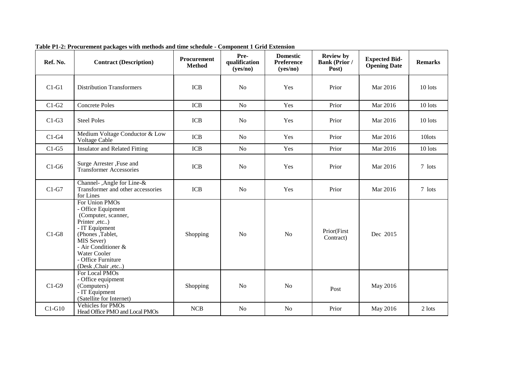| Ref. No. | <b>Contract (Description)</b>                                                                                                                                                                                       | Procurement<br><b>Method</b> | Pre-<br>qualification<br>(yes/no) | <b>Domestic</b><br><b>Preference</b><br>(yes/no) | <b>Review by</b><br><b>Bank (Prior /</b><br>Post) | <b>Expected Bid-</b><br><b>Opening Date</b> | <b>Remarks</b> |
|----------|---------------------------------------------------------------------------------------------------------------------------------------------------------------------------------------------------------------------|------------------------------|-----------------------------------|--------------------------------------------------|---------------------------------------------------|---------------------------------------------|----------------|
| $C1-G1$  | <b>Distribution Transformers</b>                                                                                                                                                                                    | <b>ICB</b>                   | N <sub>o</sub>                    | Yes                                              | Prior                                             | Mar 2016                                    | 10 lots        |
| $C1-G2$  | <b>Concrete Poles</b>                                                                                                                                                                                               | <b>ICB</b>                   | N <sub>o</sub>                    | Yes                                              | Prior                                             | Mar 2016                                    | 10 lots        |
| $C1-G3$  | <b>Steel Poles</b>                                                                                                                                                                                                  | <b>ICB</b>                   | N <sub>o</sub>                    | Yes                                              | Prior                                             | Mar 2016                                    | 10 lots        |
| $C1-G4$  | Medium Voltage Conductor & Low<br>Voltage Cable                                                                                                                                                                     | <b>ICB</b>                   | N <sub>o</sub>                    | Yes                                              | Prior                                             | Mar 2016                                    | 10lots         |
| $C1-G5$  | <b>Insulator and Related Fitting</b>                                                                                                                                                                                | <b>ICB</b>                   | No                                | Yes                                              | Prior                                             | Mar 2016                                    | 10 lots        |
| $C1-G6$  | Surge Arrester , Fuse and<br><b>Transformer Accessories</b>                                                                                                                                                         | <b>ICB</b>                   | No                                | Yes                                              | Prior                                             | Mar 2016                                    | 7 lots         |
| $C1-G7$  | Channel-, Angle for Line-&<br>Transformer and other accessories<br>for Lines                                                                                                                                        | <b>ICB</b>                   | No                                | Yes                                              | Prior                                             | Mar 2016                                    | 7 lots         |
| $C1-G8$  | For Union PMOs<br>- Office Equipment<br>(Computer, scanner,<br>Printer ,etc)<br>- IT Equipment<br>(Phones, Tablet,<br>MIS Sever)<br>- Air Conditioner &<br>Water Cooler<br>- Office Furniture<br>(Desk, Chair, etc) | Shopping                     | N <sub>o</sub>                    | N <sub>o</sub>                                   | Prior(First<br>Contract)                          | Dec 2015                                    |                |
| $C1-G9$  | For Local PMOs<br>- Office equipment<br>(Computers)<br>- IT Equipment<br>(Satellite for Internet)                                                                                                                   | Shopping                     | N <sub>o</sub>                    | N <sub>o</sub>                                   | Post                                              | May 2016                                    |                |
| $C1-G10$ | <b>Vehicles for PMOs</b><br>Head Office PMO and Local PMOs                                                                                                                                                          | <b>NCB</b>                   | No                                | N <sub>o</sub>                                   | Prior                                             | May 2016                                    | 2 lots         |

**Table P1-2: Procurement packages with methods and time schedule - Component 1 Grid Extension**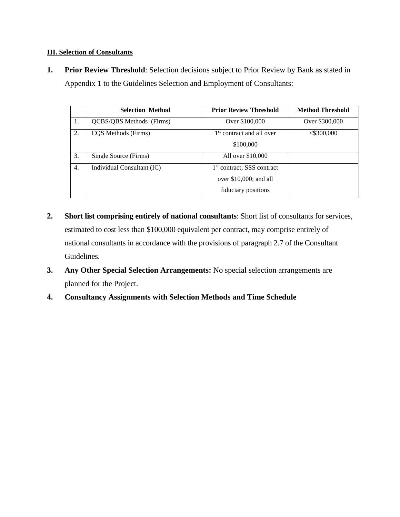#### **III. Selection of Consultants**

**1. Prior Review Threshold**: Selection decisions subject to Prior Review by Bank as stated in Appendix 1 to the Guidelines Selection and Employment of Consultants:

|    | <b>Selection Method</b>    | <b>Prior Review Threshold</b>                                                             | <b>Method Threshold</b> |
|----|----------------------------|-------------------------------------------------------------------------------------------|-------------------------|
| 1. | QCBS/QBS Methods (Firms)   | Over \$100,000                                                                            | Over \$300,000          |
| 2. | COS Methods (Firms)        | 1 <sup>st</sup> contract and all over<br>\$100,000                                        | $<$ \$300,000           |
| 3. | Single Source (Firms)      | All over \$10,000                                                                         |                         |
| 4. | Individual Consultant (IC) | 1 <sup>st</sup> contract; SSS contract<br>over $$10,000$ ; and all<br>fiduciary positions |                         |

- **2. Short list comprising entirely of national consultants**: Short list of consultants for services, estimated to cost less than \$100,000 equivalent per contract, may comprise entirely of national consultants in accordance with the provisions of paragraph 2.7 of the Consultant Guidelines.
- **3. Any Other Special Selection Arrangements:** No special selection arrangements are planned for the Project.
- **4. Consultancy Assignments with Selection Methods and Time Schedule**